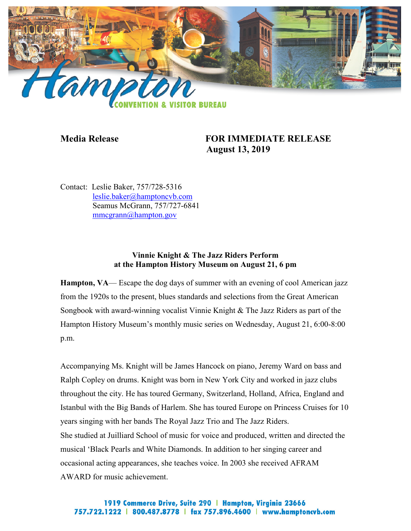

# **Media Release FOR IMMEDIATE RELEASE August 13, 2019**

Contact: Leslie Baker, 757/728-5316 [leslie.baker@hamptoncvb.com](mailto:leslie.baker@hamptoncvb.com) Seamus McGrann, 757/727-6841 [mmcgrann@hampton.gov](mailto:mmcgrann@hampton.gov)

## **Vinnie Knight & The Jazz Riders Perform at the Hampton History Museum on August 21, 6 pm**

**Hampton, VA**— Escape the dog days of summer with an evening of cool American jazz from the 1920s to the present, blues standards and selections from the Great American Songbook with award-winning vocalist Vinnie Knight & The Jazz Riders as part of the Hampton History Museum's monthly music series on Wednesday, August 21, 6:00-8:00 p.m.

Accompanying Ms. Knight will be James Hancock on piano, Jeremy Ward on bass and Ralph Copley on drums. Knight was born in New York City and worked in jazz clubs throughout the city. He has toured Germany, Switzerland, Holland, Africa, England and Istanbul with the Big Bands of Harlem. She has toured Europe on Princess Cruises for 10 years singing with her bands The Royal Jazz Trio and The Jazz Riders. She studied at Juilliard School of music for voice and produced, written and directed the musical 'Black Pearls and White Diamonds. In addition to her singing career and occasional acting appearances, she teaches voice. In 2003 she received AFRAM AWARD for music achievement.

## 1919 Commerce Drive, Suite 290 | Hampton, Virginia 23666 757.722.1222 | 800.487.8778 | fax 757.896.4600 | www.hamptoncvb.com